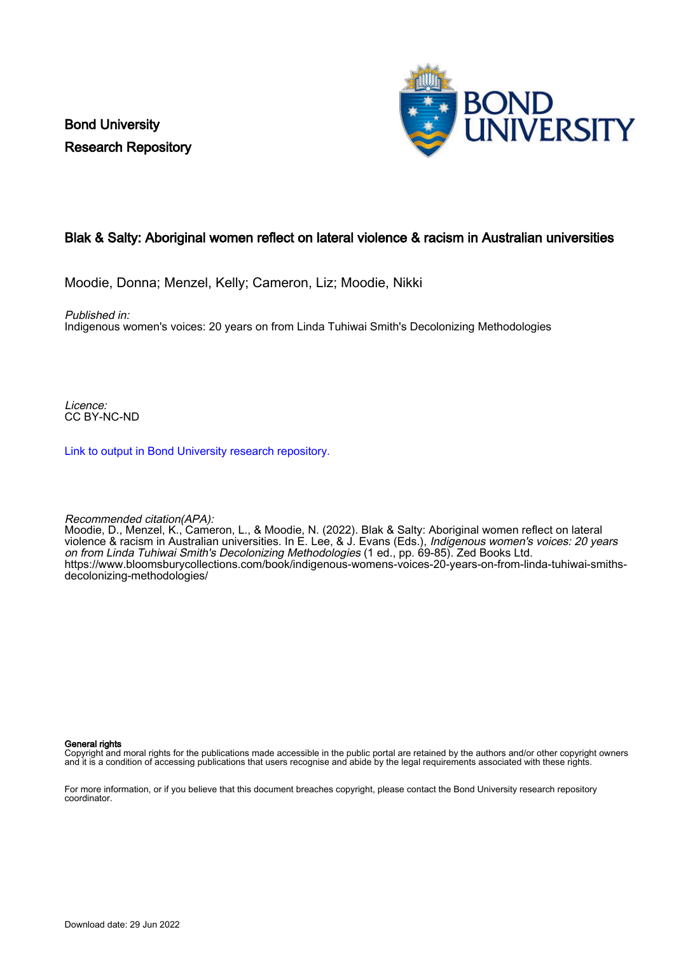Bond University Research Repository



# Blak & Salty: Aboriginal women reflect on lateral violence & racism in Australian universities

Moodie, Donna; Menzel, Kelly; Cameron, Liz; Moodie, Nikki

Published in:

Indigenous women's voices: 20 years on from Linda Tuhiwai Smith's Decolonizing Methodologies

Licence: CC BY-NC-ND

[Link to output in Bond University research repository.](https://research.bond.edu.au/en/publications/4bfa987d-7f1f-4b33-8d4a-7ba76fd033c7)

Recommended citation(APA):

Moodie, D., Menzel, K., Cameron, L., & Moodie, N. (2022). Blak & Salty: Aboriginal women reflect on lateral violence & racism in Australian universities. In E. Lee, & J. Evans (Eds.), *Indigenous women's voices: 20 years* on from Linda Tuhiwai Smith's Decolonizing Methodologies (1 ed., pp. 69-85). Zed Books Ltd. [https://www.bloomsburycollections.com/book/indigenous-womens-voices-20-years-on-from-linda-tuhiwai-smiths](https://www.bloomsburycollections.com/book/indigenous-womens-voices-20-years-on-from-linda-tuhiwai-smiths-decolonizing-methodologies/)[decolonizing-methodologies/](https://www.bloomsburycollections.com/book/indigenous-womens-voices-20-years-on-from-linda-tuhiwai-smiths-decolonizing-methodologies/)

#### General rights

Copyright and moral rights for the publications made accessible in the public portal are retained by the authors and/or other copyright owners and it is a condition of accessing publications that users recognise and abide by the legal requirements associated with these rights.

For more information, or if you believe that this document breaches copyright, please contact the Bond University research repository coordinator.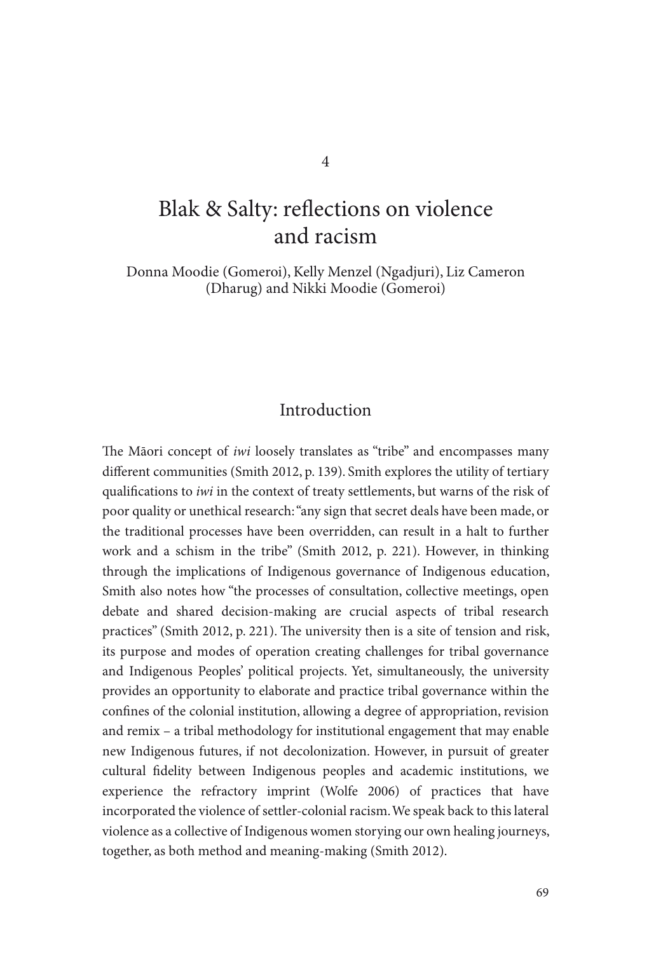# Blak & Salty: reflections on violence and racism

 Donna Moodie (Gomeroi), Kelly Menzel (Ngadjuri), Liz Cameron (Dharug) and Nikki Moodie (Gomeroi)

#### Introduction

The Maori concept of *iwi* loosely translates as "tribe" and encompasses many different communities (Smith 2012, p. 139). Smith explores the utility of tertiary qualifications to *iwi* in the context of treaty settlements, but warns of the risk of poor quality or unethical research: "any sign that secret deals have been made, or the traditional processes have been overridden, can result in a halt to further work and a schism in the tribe" (Smith 2012, p. 221). However, in thinking through the implications of Indigenous governance of Indigenous education, Smith also notes how "the processes of consultation, collective meetings, open debate and shared decision-making are crucial aspects of tribal research practices" (Smith 2012, p. 221). The university then is a site of tension and risk, its purpose and modes of operation creating challenges for tribal governance and Indigenous Peoples' political projects. Yet, simultaneously, the university provides an opportunity to elaborate and practice tribal governance within the confines of the colonial institution, allowing a degree of appropriation, revision and remix – a tribal methodology for institutional engagement that may enable new Indigenous futures, if not decolonization. However, in pursuit of greater cultural fidelity between Indigenous peoples and academic institutions, we experience the refractory imprint (Wolfe 2006) of practices that have incorporated the violence of settler-colonial racism. We speak back to this lateral violence as a collective of Indigenous women storying our own healing journeys, together, as both method and meaning-making (Smith 2012).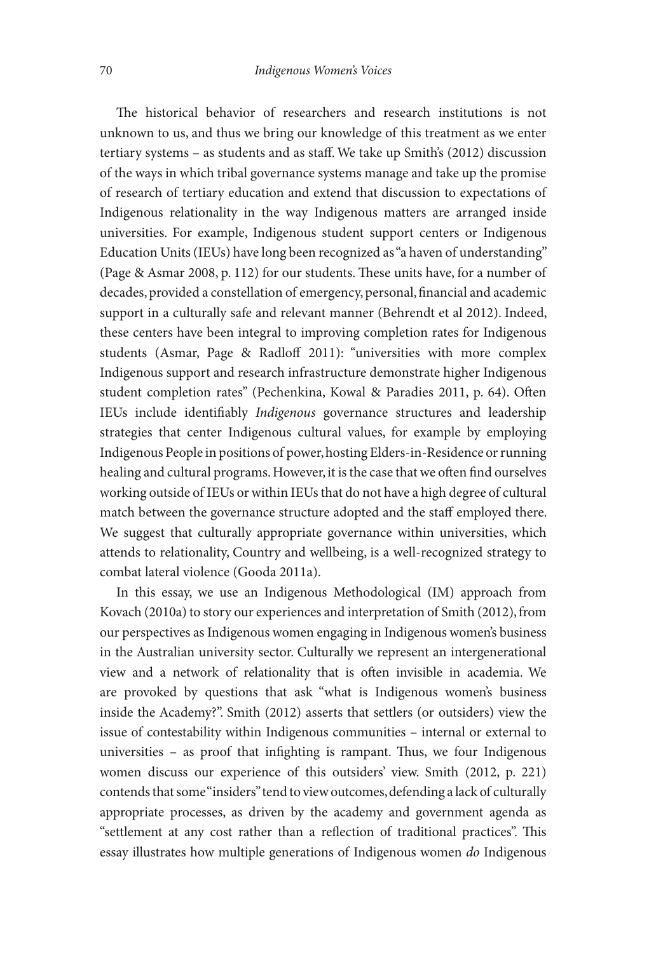The historical behavior of researchers and research institutions is not unknown to us, and thus we bring our knowledge of this treatment as we enter tertiary systems – as students and as staff. We take up Smith's (2012) discussion of the ways in which tribal governance systems manage and take up the promise of research of tertiary education and extend that discussion to expectations of Indigenous relationality in the way Indigenous matters are arranged inside universities. For example, Indigenous student support centers or Indigenous Education Units (IEUs) have long been recognized as "a haven of understanding" (Page & Asmar 2008, p. 112) for our students. These units have, for a number of decades, provided a constellation of emergency, personal, financial and academic support in a culturally safe and relevant manner (Behrendt et al 2012). Indeed, these centers have been integral to improving completion rates for Indigenous students (Asmar, Page & Radloff 2011): "universities with more complex Indigenous support and research infrastructure demonstrate higher Indigenous student completion rates" (Pechenkina, Kowal & Paradies 2011, p. 64). Often IEUs include identifiably *Indigenous* governance structures and leadership strategies that center Indigenous cultural values, for example by employing Indigenous People in positions of power, hosting Elders-in-Residence or running healing and cultural programs. However, it is the case that we often find ourselves working outside of IEUs or within IEUs that do not have a high degree of cultural match between the governance structure adopted and the staff employed there. We suggest that culturally appropriate governance within universities, which attends to relationality, Country and wellbeing, is a well-recognized strategy to combat lateral violence (Gooda 2011a).

 In this essay, we use an Indigenous Methodological (IM) approach from Kovach (2010a) to story our experiences and interpretation of Smith (2012), from our perspectives as Indigenous women engaging in Indigenous women's business in the Australian university sector. Culturally we represent an intergenerational view and a network of relationality that is often invisible in academia. We are provoked by questions that ask "what is Indigenous women's business inside the Academy?". Smith (2012) asserts that settlers (or outsiders) view the issue of contestability within Indigenous communities – internal or external to universities  $-$  as proof that infighting is rampant. Thus, we four Indigenous women discuss our experience of this outsiders' view. Smith (2012, p. 221) contends that some "insiders" tend to view outcomes, defending a lack of culturally appropriate processes, as driven by the academy and government agenda as "settlement at any cost rather than a reflection of traditional practices". This essay illustrates how multiple generations of Indigenous women *do* Indigenous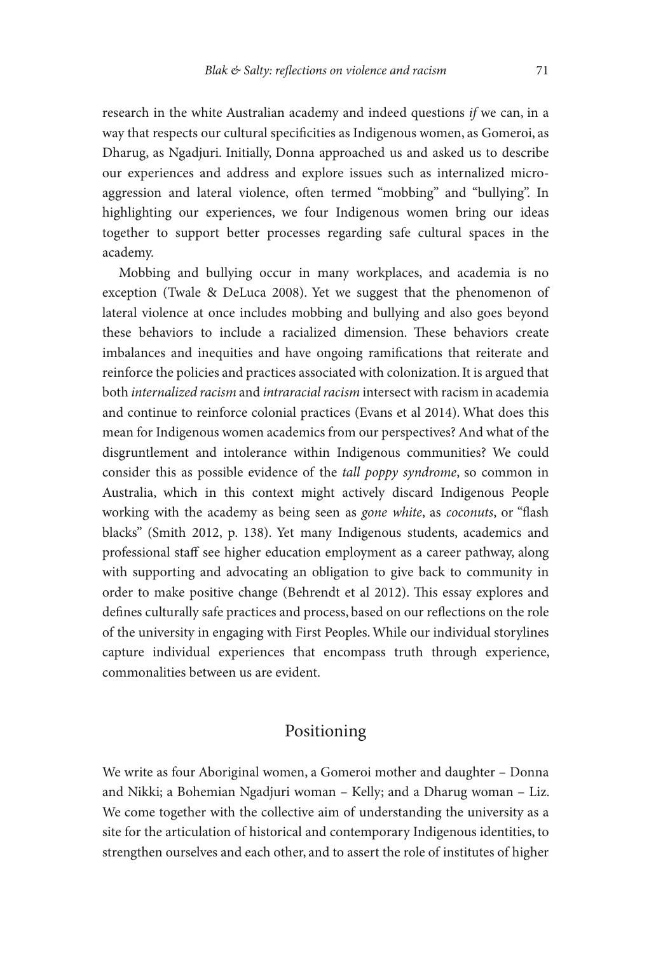research in the white Australian academy and indeed questions *if* we can, in a way that respects our cultural specificities as Indigenous women, as Gomeroi, as Dharug, as Ngadjuri. Initially, Donna approached us and asked us to describe our experiences and address and explore issues such as internalized microaggression and lateral violence, often termed "mobbing" and "bullying". In highlighting our experiences, we four Indigenous women bring our ideas together to support better processes regarding safe cultural spaces in the academy.

 Mobbing and bullying occur in many workplaces, and academia is no exception (Twale & DeLuca 2008). Yet we suggest that the phenomenon of lateral violence at once includes mobbing and bullying and also goes beyond these behaviors to include a racialized dimension. These behaviors create imbalances and inequities and have ongoing ramifications that reiterate and reinforce the policies and practices associated with colonization. It is argued that both *internalized racism* and *intraracial racism* intersect with racism in academia and continue to reinforce colonial practices (Evans et al 2014). What does this mean for Indigenous women academics from our perspectives? And what of the disgruntlement and intolerance within Indigenous communities? We could consider this as possible evidence of the *tall poppy syndrome* , so common in Australia, which in this context might actively discard Indigenous People working with the academy as being seen as *gone white*, as *coconuts*, or "flash blacks" (Smith 2012, p. 138). Yet many Indigenous students, academics and professional staff see higher education employment as a career pathway, along with supporting and advocating an obligation to give back to community in order to make positive change (Behrendt et al 2012). This essay explores and defines culturally safe practices and process, based on our reflections on the role of the university in engaging with First Peoples. While our individual storylines capture individual experiences that encompass truth through experience, commonalities between us are evident.

#### Positioning

 We write as four Aboriginal women, a Gomeroi mother and daughter – Donna and Nikki; a Bohemian Ngadjuri woman – Kelly; and a Dharug woman – Liz. We come together with the collective aim of understanding the university as a site for the articulation of historical and contemporary Indigenous identities, to strengthen ourselves and each other, and to assert the role of institutes of higher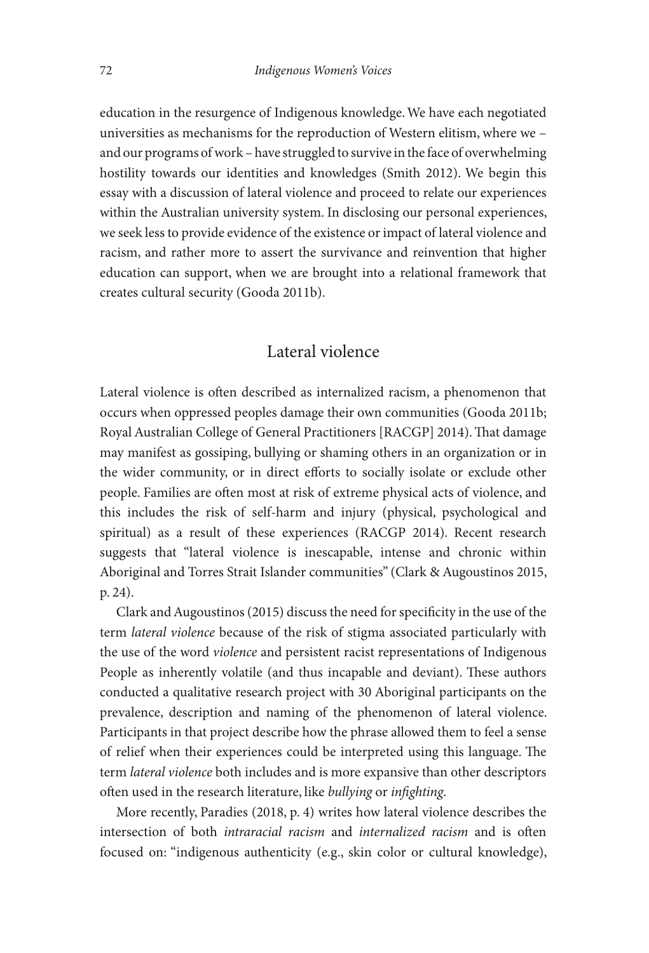education in the resurgence of Indigenous knowledge. We have each negotiated universities as mechanisms for the reproduction of Western elitism, where we – and our programs of work – have struggled to survive in the face of overwhelming hostility towards our identities and knowledges (Smith 2012). We begin this essay with a discussion of lateral violence and proceed to relate our experiences within the Australian university system. In disclosing our personal experiences, we seek less to provide evidence of the existence or impact of lateral violence and racism, and rather more to assert the survivance and reinvention that higher education can support, when we are brought into a relational framework that creates cultural security (Gooda 2011b).

#### Lateral violence

Lateral violence is often described as internalized racism, a phenomenon that occurs when oppressed peoples damage their own communities (Gooda 2011b; Royal Australian College of General Practitioners [RACGP] 2014). That damage may manifest as gossiping, bullying or shaming others in an organization or in the wider community, or in direct efforts to socially isolate or exclude other people. Families are often most at risk of extreme physical acts of violence, and this includes the risk of self-harm and injury (physical, psychological and spiritual) as a result of these experiences (RACGP 2014). Recent research suggests that "lateral violence is inescapable, intense and chronic within Aboriginal and Torres Strait Islander communities" (Clark & Augoustinos 2015, p. 24).

Clark and Augoustinos (2015) discuss the need for specificity in the use of the term *lateral violence* because of the risk of stigma associated particularly with the use of the word *violence* and persistent racist representations of Indigenous People as inherently volatile (and thus incapable and deviant). These authors conducted a qualitative research project with 30 Aboriginal participants on the prevalence, description and naming of the phenomenon of lateral violence. Participants in that project describe how the phrase allowed them to feel a sense of relief when their experiences could be interpreted using this language. The term *lateral violence* both includes and is more expansive than other descriptors often used in the research literature, like *bullying* or *infighting*.

 More recently, Paradies (2018, p. 4) writes how lateral violence describes the intersection of both *intraracial racism* and *internalized racism* and is often focused on: "indigenous authenticity (e.g., skin color or cultural knowledge),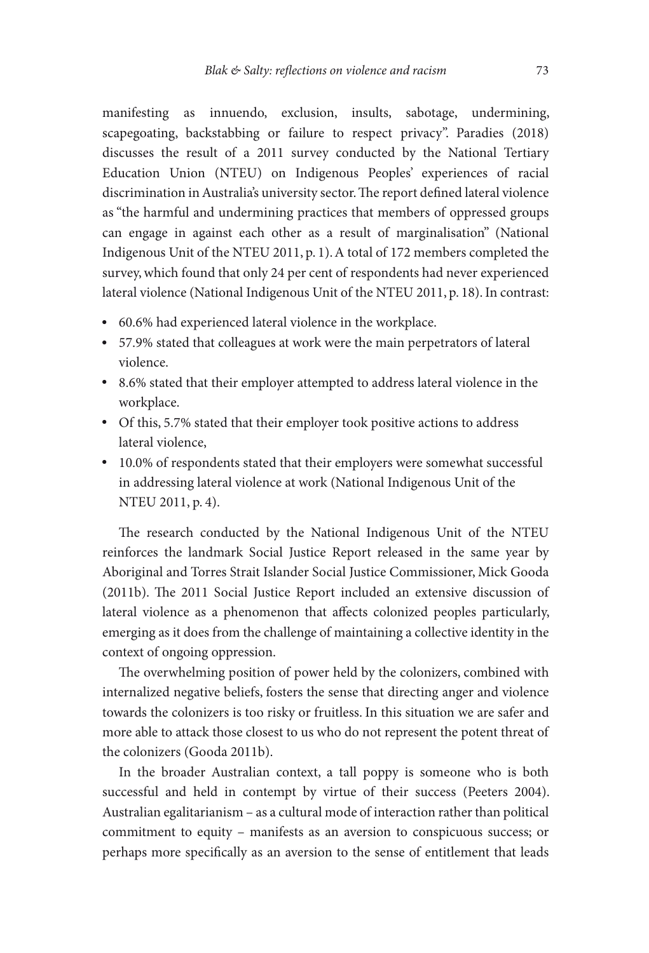manifesting as innuendo, exclusion, insults, sabotage, undermining, scapegoating, backstabbing or failure to respect privacy". Paradies (2018) discusses the result of a 2011 survey conducted by the National Tertiary Education Union (NTEU) on Indigenous Peoples' experiences of racial discrimination in Australia's university sector. The report defined lateral violence as "the harmful and undermining practices that members of oppressed groups can engage in against each other as a result of marginalisation" (National Indigenous Unit of the NTEU 2011, p. 1). A total of 172 members completed the survey, which found that only 24 per cent of respondents had never experienced lateral violence (National Indigenous Unit of the NTEU 2011, p. 18). In contrast:

- 60.6% had experienced lateral violence in the workplace.
- 57.9% stated that colleagues at work were the main perpetrators of lateral violence.
- 8.6% stated that their employer attempted to address lateral violence in the workplace.
- Of this, 5.7% stated that their employer took positive actions to address lateral violence,
- 10.0% of respondents stated that their employers were somewhat successful in addressing lateral violence at work (National Indigenous Unit of the NTEU 2011, p. 4).

The research conducted by the National Indigenous Unit of the NTEU reinforces the landmark Social Justice Report released in the same year by Aboriginal and Torres Strait Islander Social Justice Commissioner, Mick Gooda (2011b). The 2011 Social Justice Report included an extensive discussion of lateral violence as a phenomenon that affects colonized peoples particularly, emerging as it does from the challenge of maintaining a collective identity in the context of ongoing oppression.

The overwhelming position of power held by the colonizers, combined with internalized negative beliefs, fosters the sense that directing anger and violence towards the colonizers is too risky or fruitless. In this situation we are safer and more able to attack those closest to us who do not represent the potent threat of the colonizers (Gooda 2011b).

 In the broader Australian context, a tall poppy is someone who is both successful and held in contempt by virtue of their success (Peeters 2004). Australian egalitarianism – as a cultural mode of interaction rather than political commitment to equity – manifests as an aversion to conspicuous success; or perhaps more specifically as an aversion to the sense of entitlement that leads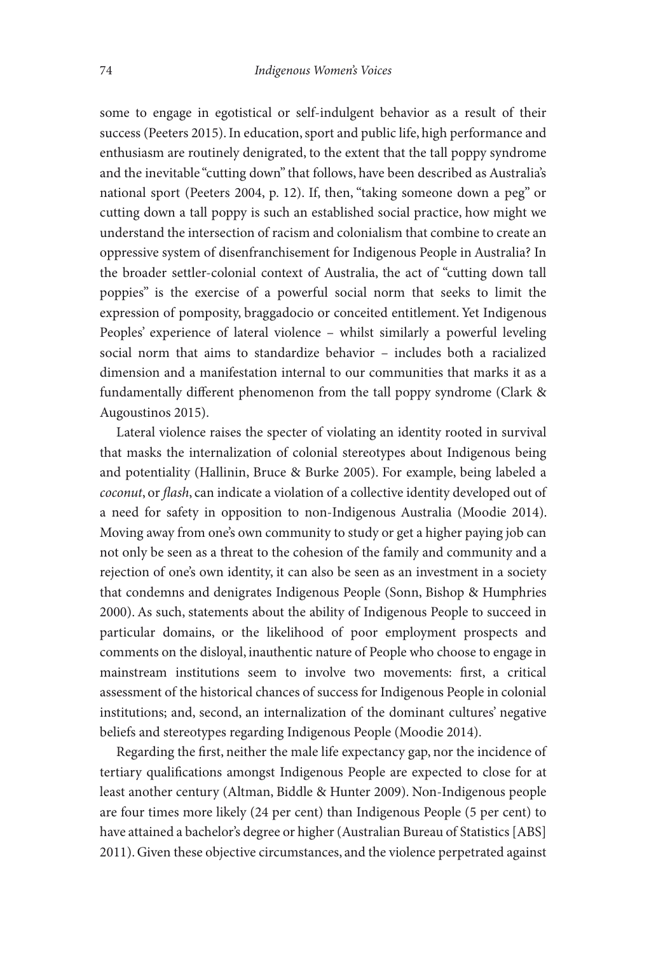some to engage in egotistical or self-indulgent behavior as a result of their success (Peeters 2015). In education, sport and public life, high performance and enthusiasm are routinely denigrated, to the extent that the tall poppy syndrome and the inevitable "cutting down" that follows, have been described as Australia's national sport (Peeters 2004, p. 12). If, then, "taking someone down a peg" or cutting down a tall poppy is such an established social practice, how might we understand the intersection of racism and colonialism that combine to create an oppressive system of disenfranchisement for Indigenous People in Australia? In the broader settler-colonial context of Australia, the act of "cutting down tall poppies" is the exercise of a powerful social norm that seeks to limit the expression of pomposity, braggadocio or conceited entitlement. Yet Indigenous Peoples' experience of lateral violence – whilst similarly a powerful leveling social norm that aims to standardize behavior – includes both a racialized dimension and a manifestation internal to our communities that marks it as a fundamentally different phenomenon from the tall poppy syndrome (Clark & Augoustinos 2015).

 Lateral violence raises the specter of violating an identity rooted in survival that masks the internalization of colonial stereotypes about Indigenous being and potentiality (Hallinin, Bruce & Burke 2005). For example, being labeled a *coconut*, or *flash*, can indicate a violation of a collective identity developed out of a need for safety in opposition to non-Indigenous Australia (Moodie 2014). Moving away from one's own community to study or get a higher paying job can not only be seen as a threat to the cohesion of the family and community and a rejection of one's own identity, it can also be seen as an investment in a society that condemns and denigrates Indigenous People (Sonn, Bishop & Humphries 2000). As such, statements about the ability of Indigenous People to succeed in particular domains, or the likelihood of poor employment prospects and comments on the disloyal, inauthentic nature of People who choose to engage in mainstream institutions seem to involve two movements: first, a critical assessment of the historical chances of success for Indigenous People in colonial institutions; and, second, an internalization of the dominant cultures' negative beliefs and stereotypes regarding Indigenous People (Moodie 2014).

Regarding the first, neither the male life expectancy gap, nor the incidence of tertiary qualifications amongst Indigenous People are expected to close for at least another century (Altman, Biddle & Hunter 2009). Non-Indigenous people are four times more likely (24 per cent) than Indigenous People (5 per cent) to have attained a bachelor's degree or higher (Australian Bureau of Statistics [ABS] 2011). Given these objective circumstances, and the violence perpetrated against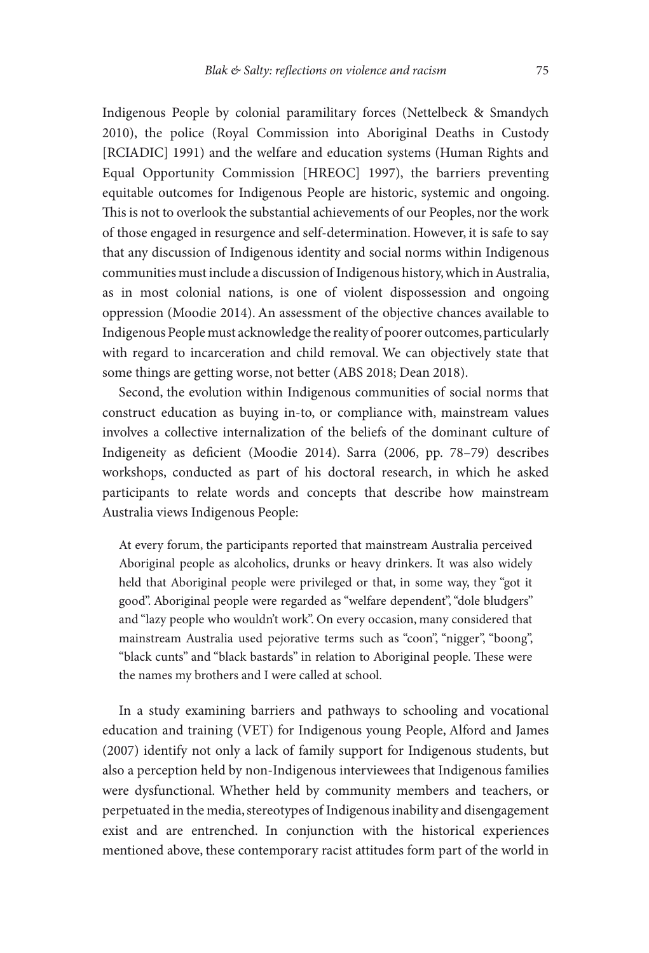Indigenous People by colonial paramilitary forces (Nettelbeck & Smandych 2010), the police (Royal Commission into Aboriginal Deaths in Custody [RCIADIC] 1991) and the welfare and education systems (Human Rights and Equal Opportunity Commission [HREOC] 1997), the barriers preventing equitable outcomes for Indigenous People are historic, systemic and ongoing. This is not to overlook the substantial achievements of our Peoples, nor the work of those engaged in resurgence and self-determination. However, it is safe to say that any discussion of Indigenous identity and social norms within Indigenous communities must include a discussion of Indigenous history, which in Australia, as in most colonial nations, is one of violent dispossession and ongoing oppression (Moodie 2014). An assessment of the objective chances available to Indigenous People must acknowledge the reality of poorer outcomes, particularly with regard to incarceration and child removal. We can objectively state that some things are getting worse, not better (ABS 2018; Dean 2018).

 Second, the evolution within Indigenous communities of social norms that construct education as buying in-to, or compliance with, mainstream values involves a collective internalization of the beliefs of the dominant culture of Indigeneity as deficient (Moodie 2014). Sarra (2006, pp. 78-79) describes workshops, conducted as part of his doctoral research, in which he asked participants to relate words and concepts that describe how mainstream Australia views Indigenous People:

 At every forum, the participants reported that mainstream Australia perceived Aboriginal people as alcoholics, drunks or heavy drinkers. It was also widely held that Aboriginal people were privileged or that, in some way, they "got it good". Aboriginal people were regarded as "welfare dependent", "dole bludgers" and "lazy people who wouldn't work". On every occasion, many considered that mainstream Australia used pejorative terms such as "coon", "nigger", "boong", "black cunts" and "black bastards" in relation to Aboriginal people. These were the names my brothers and I were called at school.

 In a study examining barriers and pathways to schooling and vocational education and training (VET) for Indigenous young People, Alford and James (2007) identify not only a lack of family support for Indigenous students, but also a perception held by non-Indigenous interviewees that Indigenous families were dysfunctional. Whether held by community members and teachers, or perpetuated in the media, stereotypes of Indigenous inability and disengagement exist and are entrenched. In conjunction with the historical experiences mentioned above, these contemporary racist attitudes form part of the world in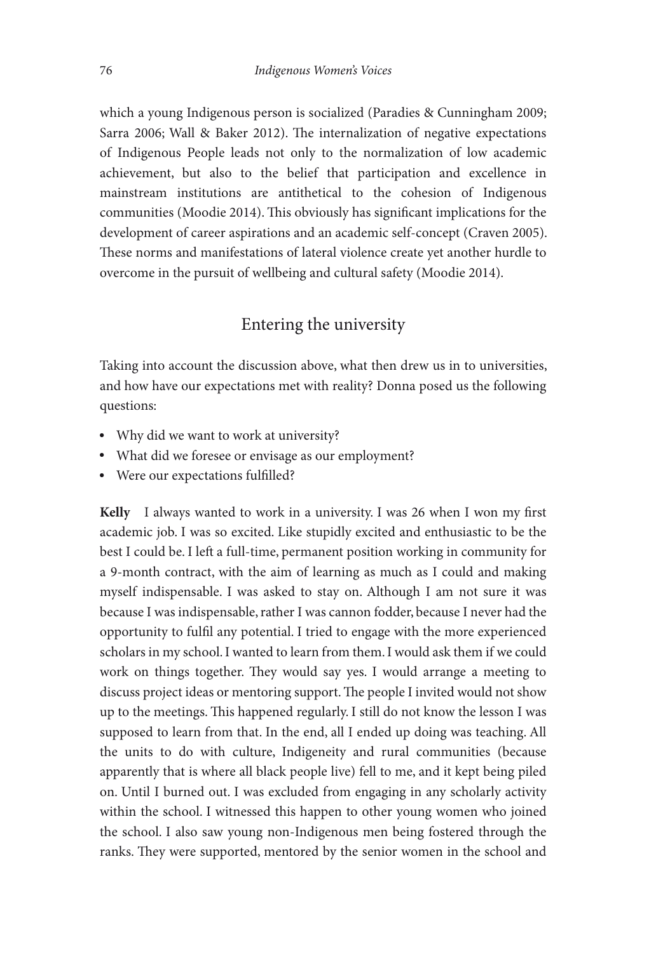which a young Indigenous person is socialized (Paradies & Cunningham 2009; Sarra 2006; Wall & Baker 2012). The internalization of negative expectations of Indigenous People leads not only to the normalization of low academic achievement, but also to the belief that participation and excellence in mainstream institutions are antithetical to the cohesion of Indigenous communities (Moodie 2014). This obviously has significant implications for the development of career aspirations and an academic self-concept (Craven 2005). These norms and manifestations of lateral violence create yet another hurdle to overcome in the pursuit of wellbeing and cultural safety (Moodie 2014).

## Entering the university

 Taking into account the discussion above, what then drew us in to universities, and how have our expectations met with reality? Donna posed us the following questions:

- Why did we want to work at university?
- What did we foresee or envisage as our employment?
- Were our expectations fulfilled?

Kelly I always wanted to work in a university. I was 26 when I won my first academic job. I was so excited. Like stupidly excited and enthusiastic to be the best I could be. I left a full-time, permanent position working in community for a 9-month contract, with the aim of learning as much as I could and making myself indispensable. I was asked to stay on. Although I am not sure it was because I was indispensable, rather I was cannon fodder, because I never had the opportunity to fulfil any potential. I tried to engage with the more experienced scholars in my school. I wanted to learn from them. I would ask them if we could work on things together. They would say yes. I would arrange a meeting to discuss project ideas or mentoring support. The people I invited would not show up to the meetings. This happened regularly. I still do not know the lesson I was supposed to learn from that. In the end, all I ended up doing was teaching. All the units to do with culture, Indigeneity and rural communities (because apparently that is where all black people live) fell to me, and it kept being piled on. Until I burned out. I was excluded from engaging in any scholarly activity within the school. I witnessed this happen to other young women who joined the school. I also saw young non-Indigenous men being fostered through the ranks. They were supported, mentored by the senior women in the school and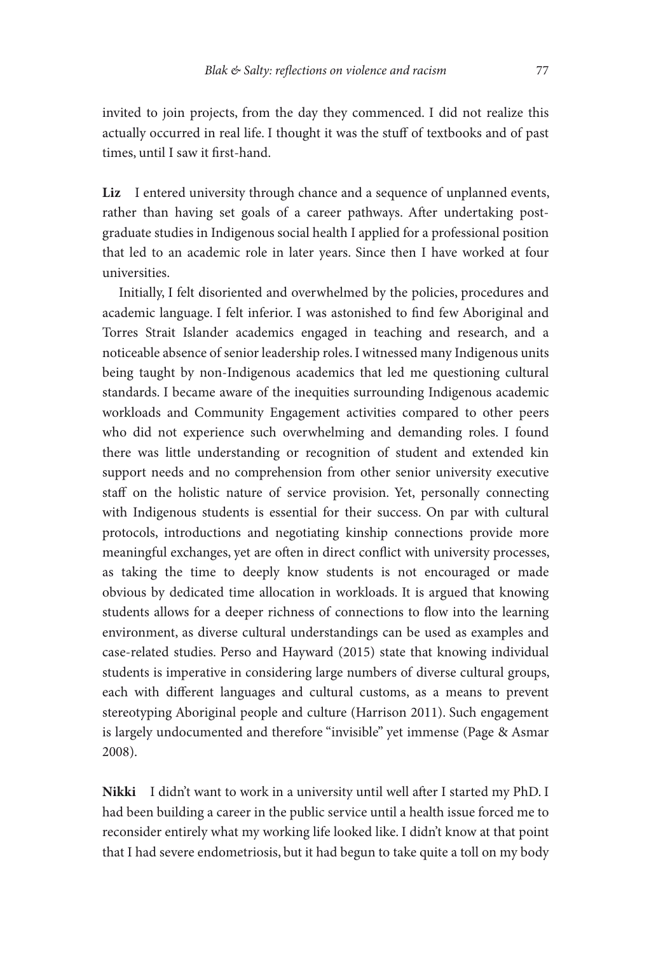invited to join projects, from the day they commenced. I did not realize this actually occurred in real life. I thought it was the stuff of textbooks and of past times, until I saw it first-hand.

**Liz** I entered university through chance and a sequence of unplanned events, rather than having set goals of a career pathways. After undertaking postgraduate studies in Indigenous social health I applied for a professional position that led to an academic role in later years. Since then I have worked at four universities.

 Initially, I felt disoriented and overwhelmed by the policies, procedures and academic language. I felt inferior. I was astonished to find few Aboriginal and Torres Strait Islander academics engaged in teaching and research, and a noticeable absence of senior leadership roles. I witnessed many Indigenous units being taught by non-Indigenous academics that led me questioning cultural standards. I became aware of the inequities surrounding Indigenous academic workloads and Community Engagement activities compared to other peers who did not experience such overwhelming and demanding roles. I found there was little understanding or recognition of student and extended kin support needs and no comprehension from other senior university executive staff on the holistic nature of service provision. Yet, personally connecting with Indigenous students is essential for their success. On par with cultural protocols, introductions and negotiating kinship connections provide more meaningful exchanges, yet are often in direct conflict with university processes, as taking the time to deeply know students is not encouraged or made obvious by dedicated time allocation in workloads. It is argued that knowing students allows for a deeper richness of connections to flow into the learning environment, as diverse cultural understandings can be used as examples and case-related studies. Perso and Hayward (2015) state that knowing individual students is imperative in considering large numbers of diverse cultural groups, each with different languages and cultural customs, as a means to prevent stereotyping Aboriginal people and culture (Harrison 2011). Such engagement is largely undocumented and therefore "invisible" yet immense (Page & Asmar 2008).

**Nikki** I didn't want to work in a university until well after I started my PhD. I had been building a career in the public service until a health issue forced me to reconsider entirely what my working life looked like. I didn't know at that point that I had severe endometriosis, but it had begun to take quite a toll on my body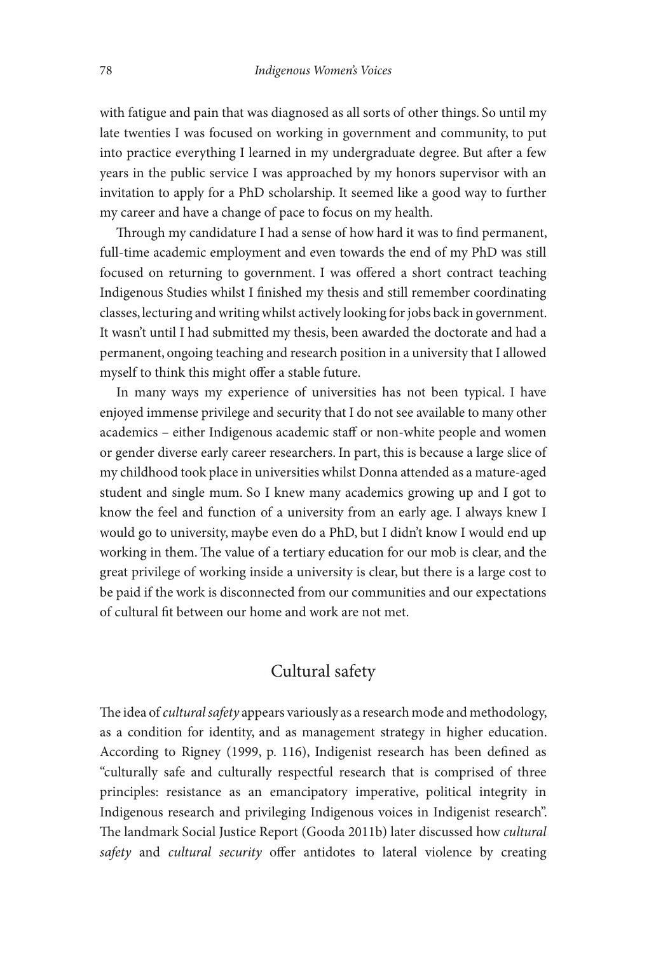with fatigue and pain that was diagnosed as all sorts of other things. So until my late twenties I was focused on working in government and community, to put into practice everything I learned in my undergraduate degree. But after a few years in the public service I was approached by my honors supervisor with an invitation to apply for a PhD scholarship. It seemed like a good way to further my career and have a change of pace to focus on my health.

Through my candidature I had a sense of how hard it was to find permanent, full-time academic employment and even towards the end of my PhD was still focused on returning to government. I was offered a short contract teaching Indigenous Studies whilst I finished my thesis and still remember coordinating classes, lecturing and writing whilst actively looking for jobs back in government. It wasn't until I had submitted my thesis, been awarded the doctorate and had a permanent, ongoing teaching and research position in a university that I allowed myself to think this might offer a stable future.

 In many ways my experience of universities has not been typical. I have enjoyed immense privilege and security that I do not see available to many other academics – either Indigenous academic staff or non-white people and women or gender diverse early career researchers. In part, this is because a large slice of my childhood took place in universities whilst Donna attended as a mature-aged student and single mum. So I knew many academics growing up and I got to know the feel and function of a university from an early age. I always knew I would go to university, maybe even do a PhD, but I didn't know I would end up working in them. The value of a tertiary education for our mob is clear, and the great privilege of working inside a university is clear, but there is a large cost to be paid if the work is disconnected from our communities and our expectations of cultural fit between our home and work are not met.

#### Cultural safety

The idea of *cultural safety* appears variously as a research mode and methodology, as a condition for identity, and as management strategy in higher education. According to Rigney (1999, p. 116), Indigenist research has been defined as "culturally safe and culturally respectful research that is comprised of three principles: resistance as an emancipatory imperative, political integrity in Indigenous research and privileging Indigenous voices in Indigenist research". The landmark Social Justice Report (Gooda 2011b) later discussed how *cultural* safety and cultural security offer antidotes to lateral violence by creating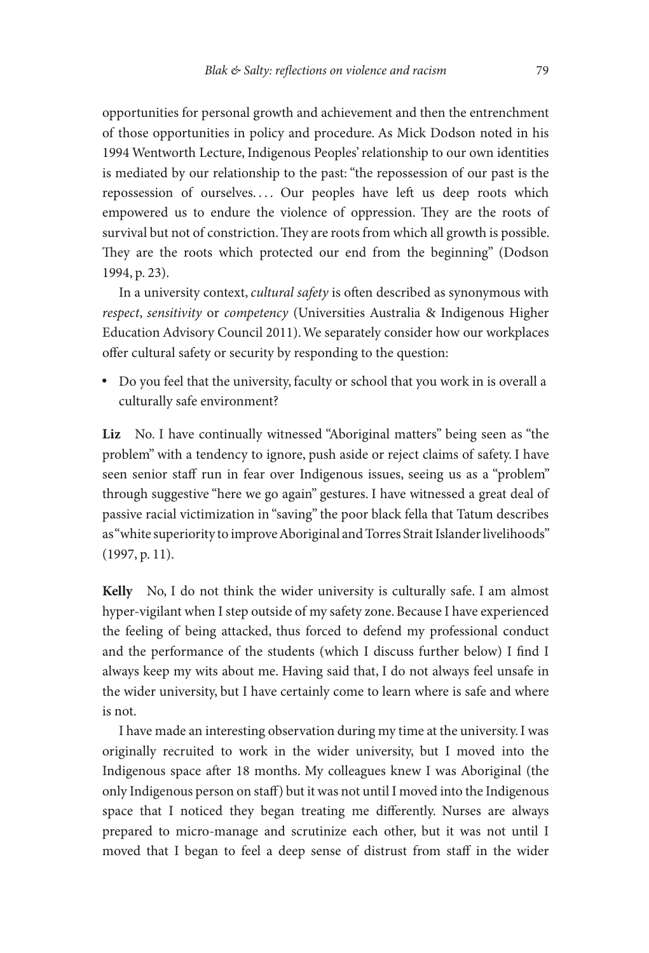opportunities for personal growth and achievement and then the entrenchment of those opportunities in policy and procedure. As Mick Dodson noted in his 1994 Wentworth Lecture, Indigenous Peoples' relationship to our own identities is mediated by our relationship to the past: "the repossession of our past is the repossession of ourselves.... Our peoples have left us deep roots which empowered us to endure the violence of oppression. They are the roots of survival but not of constriction. They are roots from which all growth is possible. They are the roots which protected our end from the beginning" (Dodson 1994, p. 23).

In a university context, *cultural safety* is often described as synonymous with *respect, sensitivity* or *competency* (Universities Australia & Indigenous Higher Education Advisory Council 2011). We separately consider how our workplaces offer cultural safety or security by responding to the question:

• Do you feel that the university, faculty or school that you work in is overall a culturally safe environment?

**Liz** No. I have continually witnessed "Aboriginal matters" being seen as "the problem" with a tendency to ignore, push aside or reject claims of safety. I have seen senior staff run in fear over Indigenous issues, seeing us as a "problem" through suggestive "here we go again" gestures. I have witnessed a great deal of passive racial victimization in "saving" the poor black fella that Tatum describes as "white superiority to improve Aboriginal and Torres Strait Islander livelihoods" (1997, p. 11).

**Kelly** No, I do not think the wider university is culturally safe. I am almost hyper-vigilant when I step outside of my safety zone. Because I have experienced the feeling of being attacked, thus forced to defend my professional conduct and the performance of the students (which I discuss further below) I find I always keep my wits about me. Having said that, I do not always feel unsafe in the wider university, but I have certainly come to learn where is safe and where is not.

 I have made an interesting observation during my time at the university. I was originally recruited to work in the wider university, but I moved into the Indigenous space after 18 months. My colleagues knew I was Aboriginal (the only Indigenous person on staff ) but it was not until I moved into the Indigenous space that I noticed they began treating me differently. Nurses are always prepared to micro-manage and scrutinize each other, but it was not until I moved that I began to feel a deep sense of distrust from staff in the wider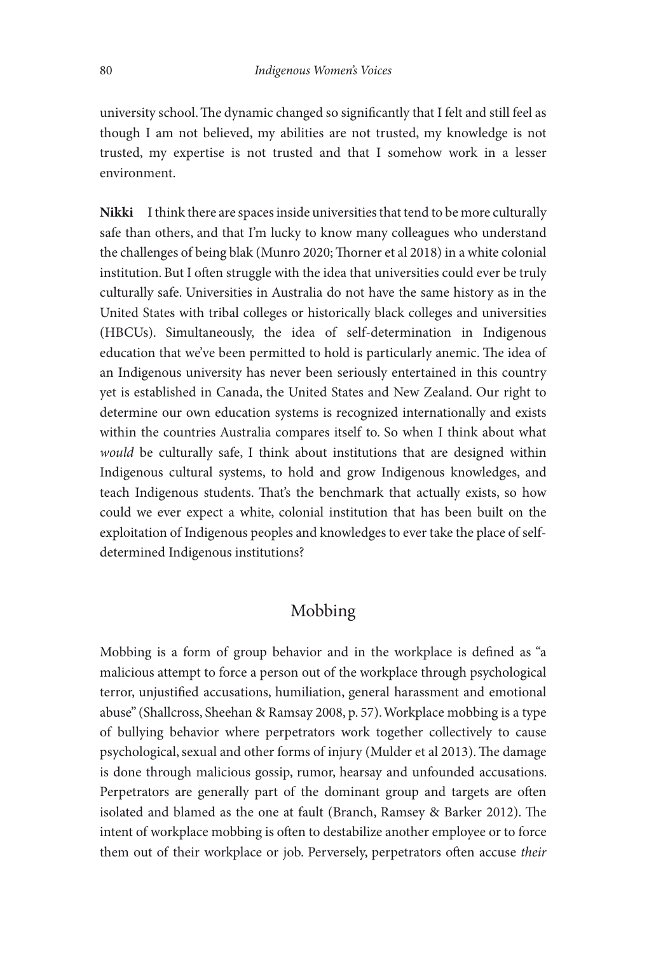university school. The dynamic changed so significantly that I felt and still feel as though I am not believed, my abilities are not trusted, my knowledge is not trusted, my expertise is not trusted and that I somehow work in a lesser environment.

**Nikki** I think there are spaces inside universities that tend to be more culturally safe than others, and that I'm lucky to know many colleagues who understand the challenges of being blak (Munro 2020; Thorner et al 2018) in a white colonial institution. But I often struggle with the idea that universities could ever be truly culturally safe. Universities in Australia do not have the same history as in the United States with tribal colleges or historically black colleges and universities (HBCUs). Simultaneously, the idea of self-determination in Indigenous education that we've been permitted to hold is particularly anemic. The idea of an Indigenous university has never been seriously entertained in this country yet is established in Canada, the United States and New Zealand. Our right to determine our own education systems is recognized internationally and exists within the countries Australia compares itself to. So when I think about what *would* be culturally safe, I think about institutions that are designed within Indigenous cultural systems, to hold and grow Indigenous knowledges, and teach Indigenous students. That's the benchmark that actually exists, so how could we ever expect a white, colonial institution that has been built on the exploitation of Indigenous peoples and knowledges to ever take the place of selfdetermined Indigenous institutions?

#### Mobbing

Mobbing is a form of group behavior and in the workplace is defined as "a malicious attempt to force a person out of the workplace through psychological terror, unjustified accusations, humiliation, general harassment and emotional abuse" (Shallcross, Sheehan & Ramsay 2008, p. 57). Workplace mobbing is a type of bullying behavior where perpetrators work together collectively to cause psychological, sexual and other forms of injury (Mulder et al 2013). The damage is done through malicious gossip, rumor, hearsay and unfounded accusations. Perpetrators are generally part of the dominant group and targets are often isolated and blamed as the one at fault (Branch, Ramsey & Barker 2012). The intent of workplace mobbing is often to destabilize another employee or to force them out of their workplace or job. Perversely, perpetrators often accuse their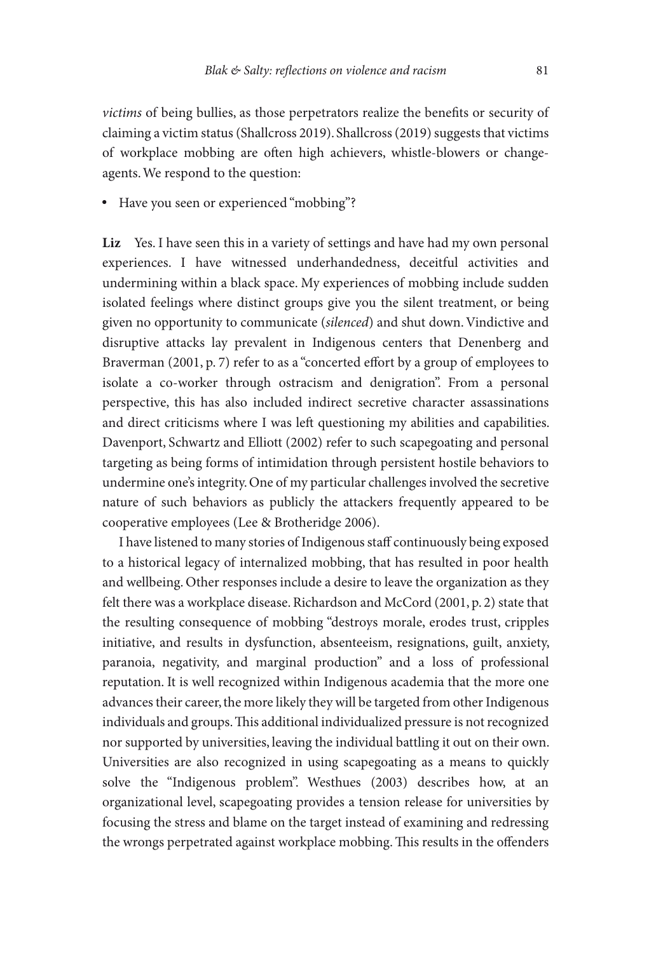*victims* of being bullies, as those perpetrators realize the benefits or security of claiming a victim status (Shallcross 2019). Shallcross (2019) suggests that victims of workplace mobbing are often high achievers, whistle-blowers or changeagents. We respond to the question:

• Have you seen or experienced "mobbing"?

Liz Yes. I have seen this in a variety of settings and have had my own personal experiences. I have witnessed underhandedness, deceitful activities and undermining within a black space. My experiences of mobbing include sudden isolated feelings where distinct groups give you the silent treatment, or being given no opportunity to communicate (silenced) and shut down. Vindictive and disruptive attacks lay prevalent in Indigenous centers that Denenberg and Braverman (2001, p. 7) refer to as a "concerted effort by a group of employees to isolate a co-worker through ostracism and denigration". From a personal perspective, this has also included indirect secretive character assassinations and direct criticisms where I was left questioning my abilities and capabilities. Davenport, Schwartz and Elliott (2002) refer to such scapegoating and personal targeting as being forms of intimidation through persistent hostile behaviors to undermine one's integrity. One of my particular challenges involved the secretive nature of such behaviors as publicly the attackers frequently appeared to be cooperative employees (Lee & Brotheridge 2006).

 I have listened to many stories of Indigenous staff continuously being exposed to a historical legacy of internalized mobbing, that has resulted in poor health and wellbeing. Other responses include a desire to leave the organization as they felt there was a workplace disease. Richardson and McCord (2001, p. 2) state that the resulting consequence of mobbing "destroys morale, erodes trust, cripples initiative, and results in dysfunction, absenteeism, resignations, guilt, anxiety, paranoia, negativity, and marginal production" and a loss of professional reputation. It is well recognized within Indigenous academia that the more one advances their career, the more likely they will be targeted from other Indigenous individuals and groups. This additional individualized pressure is not recognized nor supported by universities, leaving the individual battling it out on their own. Universities are also recognized in using scapegoating as a means to quickly solve the "Indigenous problem". Westhues (2003) describes how, at an organizational level, scapegoating provides a tension release for universities by focusing the stress and blame on the target instead of examining and redressing the wrongs perpetrated against workplace mobbing. This results in the offenders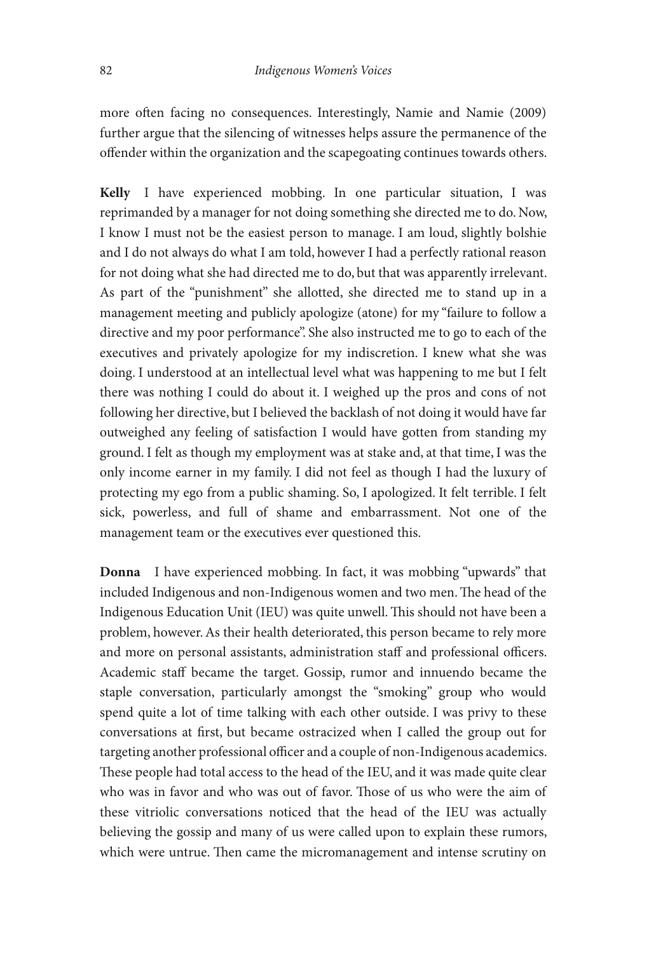more often facing no consequences. Interestingly, Namie and Namie (2009) further argue that the silencing of witnesses helps assure the permanence of the offender within the organization and the scapegoating continues towards others.

**Kelly** I have experienced mobbing. In one particular situation, I was reprimanded by a manager for not doing something she directed me to do. Now, I know I must not be the easiest person to manage. I am loud, slightly bolshie and I do not always do what I am told, however I had a perfectly rational reason for not doing what she had directed me to do, but that was apparently irrelevant. As part of the "punishment" she allotted, she directed me to stand up in a management meeting and publicly apologize (atone) for my "failure to follow a directive and my poor performance". She also instructed me to go to each of the executives and privately apologize for my indiscretion. I knew what she was doing. I understood at an intellectual level what was happening to me but I felt there was nothing I could do about it. I weighed up the pros and cons of not following her directive, but I believed the backlash of not doing it would have far outweighed any feeling of satisfaction I would have gotten from standing my ground. I felt as though my employment was at stake and, at that time, I was the only income earner in my family. I did not feel as though I had the luxury of protecting my ego from a public shaming. So, I apologized. It felt terrible. I felt sick, powerless, and full of shame and embarrassment. Not one of the management team or the executives ever questioned this.

**Donna** I have experienced mobbing. In fact, it was mobbing "upwards" that included Indigenous and non-Indigenous women and two men. The head of the Indigenous Education Unit (IEU) was quite unwell. This should not have been a problem, however. As their health deteriorated, this person became to rely more and more on personal assistants, administration staff and professional officers. Academic staff became the target. Gossip, rumor and innuendo became the staple conversation, particularly amongst the "smoking" group who would spend quite a lot of time talking with each other outside. I was privy to these conversations at first, but became ostracized when I called the group out for targeting another professional officer and a couple of non-Indigenous academics. These people had total access to the head of the IEU, and it was made quite clear who was in favor and who was out of favor. Those of us who were the aim of these vitriolic conversations noticed that the head of the IEU was actually believing the gossip and many of us were called upon to explain these rumors, which were untrue. Then came the micromanagement and intense scrutiny on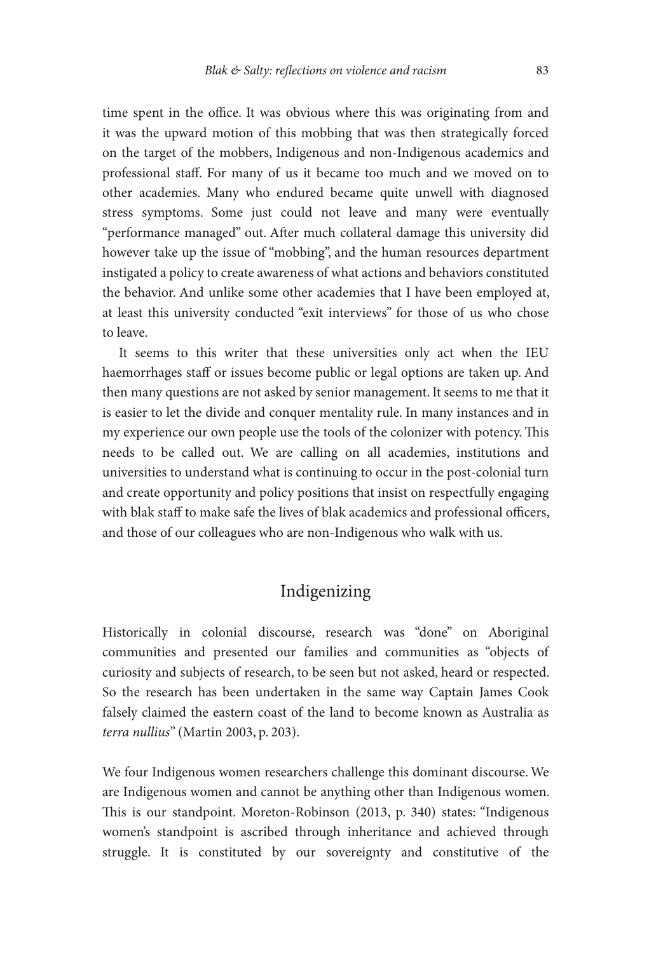time spent in the office. It was obvious where this was originating from and it was the upward motion of this mobbing that was then strategically forced on the target of the mobbers, Indigenous and non-Indigenous academics and professional staff. For many of us it became too much and we moved on to other academies. Many who endured became quite unwell with diagnosed stress symptoms. Some just could not leave and many were eventually "performance managed" out. After much collateral damage this university did however take up the issue of "mobbing", and the human resources department instigated a policy to create awareness of what actions and behaviors constituted the behavior. And unlike some other academies that I have been employed at, at least this university conducted "exit interviews" for those of us who chose to leave.

 It seems to this writer that these universities only act when the IEU haemorrhages staff or issues become public or legal options are taken up. And then many questions are not asked by senior management. It seems to me that it is easier to let the divide and conquer mentality rule. In many instances and in my experience our own people use the tools of the colonizer with potency. This needs to be called out. We are calling on all academies, institutions and universities to understand what is continuing to occur in the post-colonial turn and create opportunity and policy positions that insist on respectfully engaging with blak staff to make safe the lives of blak academics and professional officers, and those of our colleagues who are non-Indigenous who walk with us.

#### Indigenizing

 Historically in colonial discourse, research was "done" on Aboriginal communities and presented our families and communities as "objects of curiosity and subjects of research, to be seen but not asked, heard or respected. So the research has been undertaken in the same way Captain James Cook falsely claimed the eastern coast of the land to become known as Australia as *terra nullius* " (Martin 2003, p. 203).

 We four Indigenous women researchers challenge this dominant discourse. We are Indigenous women and cannot be anything other than Indigenous women. This is our standpoint. Moreton-Robinson (2013, p. 340) states: "Indigenous women's standpoint is ascribed through inheritance and achieved through struggle. It is constituted by our sovereignty and constitutive of the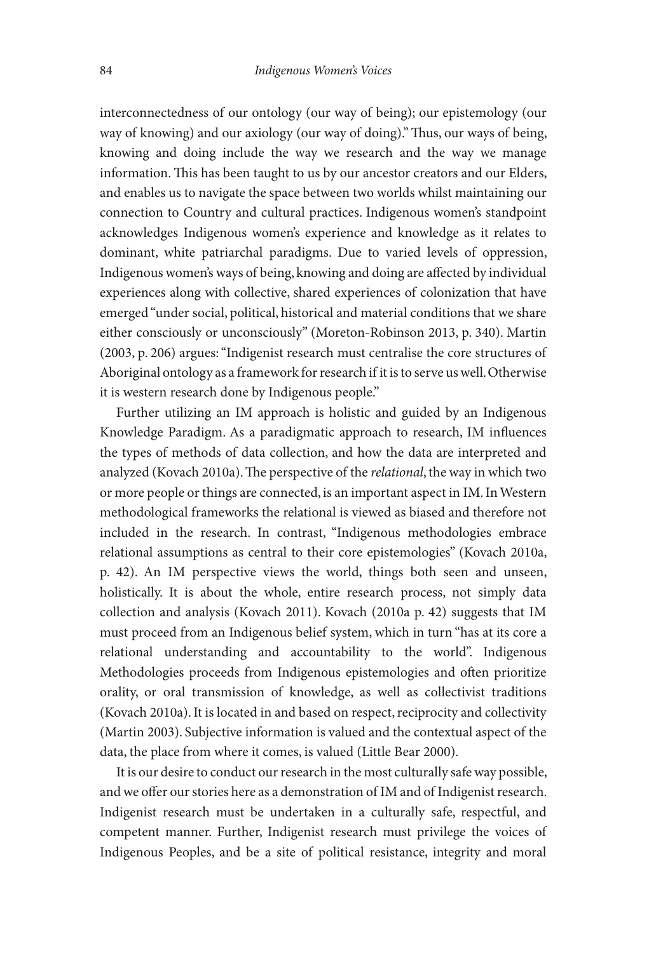interconnectedness of our ontology (our way of being); our epistemology (our way of knowing) and our axiology (our way of doing)." Thus, our ways of being, knowing and doing include the way we research and the way we manage information. This has been taught to us by our ancestor creators and our Elders, and enables us to navigate the space between two worlds whilst maintaining our connection to Country and cultural practices. Indigenous women's standpoint acknowledges Indigenous women's experience and knowledge as it relates to dominant, white patriarchal paradigms. Due to varied levels of oppression, Indigenous women's ways of being, knowing and doing are affected by individual experiences along with collective, shared experiences of colonization that have emerged "under social, political, historical and material conditions that we share either consciously or unconsciously" (Moreton-Robinson 2013, p. 340). Martin (2003, p. 206) argues: "Indigenist research must centralise the core structures of Aboriginal ontology as a framework for research if it is to serve us well. Otherwise it is western research done by Indigenous people."

 Further utilizing an IM approach is holistic and guided by an Indigenous Knowledge Paradigm. As a paradigmatic approach to research, IM influences the types of methods of data collection, and how the data are interpreted and analyzed (Kovach 2010a). The perspective of the *relational*, the way in which two or more people or things are connected, is an important aspect in IM. In Western methodological frameworks the relational is viewed as biased and therefore not included in the research. In contrast, "Indigenous methodologies embrace relational assumptions as central to their core epistemologies" (Kovach 2010a, p. 42). An IM perspective views the world, things both seen and unseen, holistically. It is about the whole, entire research process, not simply data collection and analysis (Kovach 2011). Kovach (2010a p. 42) suggests that IM must proceed from an Indigenous belief system, which in turn "has at its core a relational understanding and accountability to the world". Indigenous Methodologies proceeds from Indigenous epistemologies and often prioritize orality, or oral transmission of knowledge, as well as collectivist traditions (Kovach 2010a). It is located in and based on respect, reciprocity and collectivity (Martin 2003). Subjective information is valued and the contextual aspect of the data, the place from where it comes, is valued (Little Bear 2000).

 It is our desire to conduct our research in the most culturally safe way possible, and we offer our stories here as a demonstration of IM and of Indigenist research. Indigenist research must be undertaken in a culturally safe, respectful, and competent manner. Further, Indigenist research must privilege the voices of Indigenous Peoples, and be a site of political resistance, integrity and moral